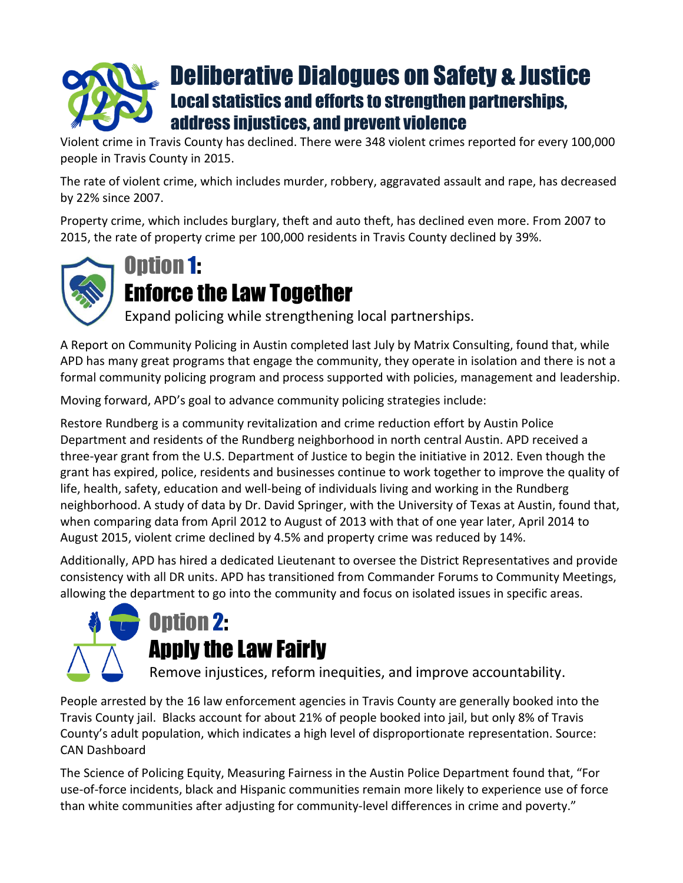## Deliberative Dialogues on Safety & Justice Local statistics and efforts to strengthen partnerships, address injustices, and prevent violence

Violent crime in Travis County has declined. There were 348 violent crimes reported for every 100,000 people in Travis County in 2015.

The rate of violent crime, which includes murder, robbery, aggravated assault and rape, has decreased by 22% since 2007.

Property crime, which includes burglary, theft and auto theft, has declined even more. From 2007 to 2015, the rate of property crime per 100,000 residents in Travis County declined by 39%.



## Option 1:

## Enforce the Law Together

Expand policing while strengthening local partnerships.

A Report on Community Policing in Austin completed last July by Matrix Consulting, found that, while APD has many great programs that engage the community, they operate in isolation and there is not a formal community policing program and process supported with policies, management and leadership.

Moving forward, APD's goal to advance community policing strategies include:

Restore Rundberg is a community revitalization and crime reduction effort by Austin Police Department and residents of the Rundberg neighborhood in north central Austin. APD received a three-year grant from the U.S. Department of Justice to begin the initiative in 2012. Even though the grant has expired, police, residents and businesses continue to work together to improve the quality of life, health, safety, education and well-being of individuals living and working in the Rundberg neighborhood. A study of data by Dr. David Springer, with the University of Texas at Austin, found that, when comparing data from April 2012 to August of 2013 with that of one year later, April 2014 to August 2015, violent crime declined by 4.5% and property crime was reduced by 14%.

Additionally, APD has hired a dedicated Lieutenant to oversee the District Representatives and provide consistency with all DR units. APD has transitioned from Commander Forums to Community Meetings, allowing the department to go into the community and focus on isolated issues in specific areas.





Remove injustices, reform inequities, and improve accountability.

People arrested by the 16 law enforcement agencies in Travis County are generally booked into the Travis County jail. Blacks account for about 21% of people booked into jail, but only 8% of Travis County's adult population, which indicates a high level of disproportionate representation. Source: CAN Dashboard

The Science of Policing Equity, Measuring Fairness in the Austin Police Department found that, "For use-of-force incidents, black and Hispanic communities remain more likely to experience use of force than white communities after adjusting for community-level differences in crime and poverty."